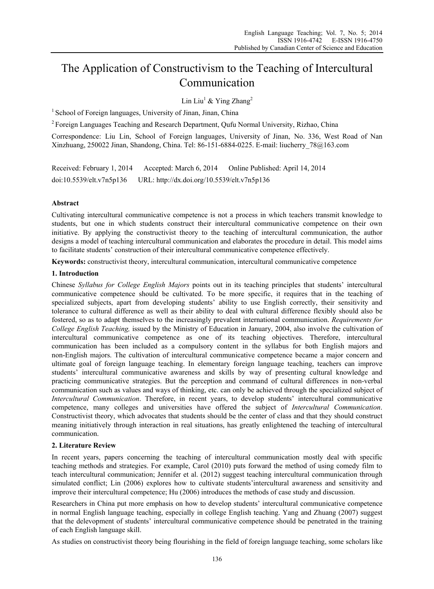# The Application of Constructivism to the Teaching of Intercultural Communication

Lin Liu<sup>1</sup> & Ying Zhang<sup>2</sup>

<sup>1</sup> School of Foreign languages, University of Jinan, Jinan, China

2 Foreign Languages Teaching and Research Department, Qufu Normal University, Rizhao, China

Correspondence: Liu Lin, School of Foreign languages, University of Jinan, No. 336, West Road of Nan Xinzhuang, 250022 Jinan, Shandong, China. Tel: 86-151-6884-0225. E-mail: liucherry\_78@163.com

Received: February 1, 2014 Accepted: March 6, 2014 Online Published: April 14, 2014 doi:10.5539/elt.v7n5p136 URL: http://dx.doi.org/10.5539/elt.v7n5p136

# **Abstract**

Cultivating intercultural communicative competence is not a process in which teachers transmit knowledge to students, but one in which students construct their intercultural communicative competence on their own initiative. By applying the constructivist theory to the teaching of intercultural communication, the author designs a model of teaching intercultural communication and elaborates the procedure in detail. This model aims to facilitate students' construction of their intercultural communicative competence effectively.

**Keywords:** constructivist theory, intercultural communication, intercultural communicative competence

## **1. Introduction**

Chinese *Syllabus for College English Majors* points out in its teaching principles that students' intercultural communicative competence should be cultivated. To be more specific, it requires that in the teaching of specialized subjects, apart from developing students' ability to use English correctly, their sensitivity and tolerance to cultural difference as well as their ability to deal with cultural difference flexibly should also be fostered, so as to adapt themselves to the increasingly prevalent international communication. *Requirements for College English Teaching,* issued by the Ministry of Education in January, 2004, also involve the cultivation of intercultural communicative competence as one of its teaching objectives. Therefore, intercultural communication has been included as a compulsory content in the syllabus for both English majors and non-English majors. The cultivation of intercultural communicative competence became a major concern and ultimate goal of foreign language teaching. In elementary foreign language teaching, teachers can improve students' intercultural communicative awareness and skills by way of presenting cultural knowledge and practicing communicative strategies. But the perception and command of cultural differences in non-verbal communication such as values and ways of thinking, etc. can only be achieved through the specialized subject of *Intercultural Communication*. Therefore, in recent years, to develop students' intercultural communicative competence, many colleges and universities have offered the subject of *Intercultural Communication*. Constructivist theory, which advocates that students should be the center of class and that they should construct meaning initiatively through interaction in real situations, has greatly enlightened the teaching of intercultural communication.

# **2. Literature Review**

In recent years, papers concerning the teaching of intercultural communication mostly deal with specific teaching methods and strategies. For example, Carol (2010) puts forward the method of using comedy film to teach intercultural communication; Jennifer et al. (2012) suggest teaching intercultural communication through simulated conflict; Lin (2006) explores how to cultivate students'intercultural awareness and sensitivity and improve their intercultural competence; Hu (2006) introduces the methods of case study and discussion.

Researchers in China put more emphasis on how to develop students' intercultural communicative competence in normal English language teaching, especially in college English teaching. Yang and Zhuang (2007) suggest that the delevopment of students' intercultural communicative competence should be penetrated in the training of each English language skill.

As studies on constructivist theory being flourishing in the field of foreign language teaching, some scholars like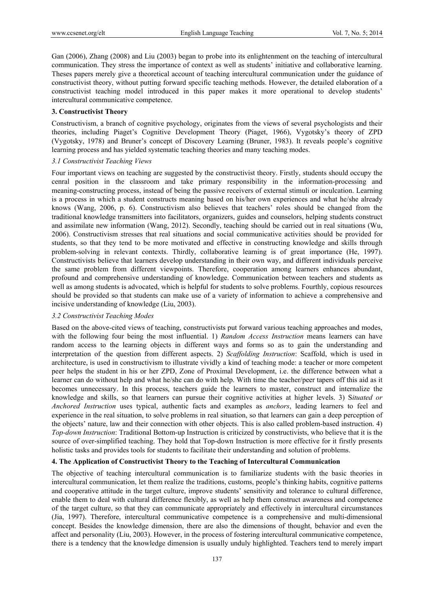Gan (2006), Zhang (2008) and Liu (2003) began to probe into its enlightenment on the teaching of intercultural communication. They stress the importance of context as well as students' initiative and collaborative learning. Theses papers merely give a theoretical account of teaching intercultural communication under the guidance of constructivist theory, without putting forward specific teaching methods. However, the detailed elaboration of a constructivist teaching model introduced in this paper makes it more operational to develop students' intercultural communicative competence.

### **3. Constructivist Theory**

Constructivism, a branch of cognitive psychology, originates from the views of several psychologists and their theories, including Piaget's Cognitive Development Theory (Piaget, 1966), Vygotsky's theory of ZPD (Vygotsky, 1978) and Bruner's concept of Discovery Learning (Bruner, 1983). It reveals people's cognitive learning process and has yielded systematic teaching theories and many teaching modes.

### *3.1 Constructivist Teaching Views*

Four important views on teaching are suggested by the constructivist theory. Firstly, students should occupy the cenral position in the classroom and take primary responsibility in the information-processing and meaning-constructing process, instead of being the passive receivers of external stimuli or inculcation. Learning is a process in which a student constructs meaning based on his/her own experiences and what he/she already knows (Wang, 2006, p. 6). Constructivism also believes that teachers' roles should be changed from the traditional knowledge transmitters into facilitators, organizers, guides and counselors, helping students construct and assimilate new information (Wang, 2012). Secondly, teaching should be carried out in real situations (Wu, 2006). Constructivism stresses that real situations and social communicative activities should be provided for students, so that they tend to be more motivated and effective in constructing knowledge and skills through problem-solving in relevant contexts. Thirdly, collaborative learning is of great importance (He, 1997). Constructivists believe that learners develop understanding in their own way, and different individuals perceive the same problem from different viewpoints. Therefore, cooperation among learners enhances abundant, profound and comprehensive understanding of knowledge. Communication between teachers and students as well as among students is advocated, which is helpful for students to solve problems. Fourthly, copious resources should be provided so that students can make use of a variety of information to achieve a comprehensive and incisive understanding of knowledge (Liu, 2003).

### *3.2 Constructivist Teaching Modes*

Based on the above-cited views of teaching, constructivists put forward various teaching approaches and modes, with the following four being the most influential. 1) *Random Access Instruction* means learners can have random access to the learning objects in different ways and forms so as to gain the understanding and interpretation of the question from different aspects. 2) *Scaffolding Instruction*: Scaffold, which is used in architecture, is used in constructivism to illustrate vividly a kind of teaching mode: a teacher or more competent peer helps the student in his or her ZPD, Zone of Proximal Development, i.e. the difference between what a learner can do without help and what he/she can do with help. With time the teacher/peer tapers off this aid as it becomes unnecessary. In this process, teachers guide the learners to master, construct and internalize the knowledge and skills, so that learners can pursue their cognitive activities at higher levels. 3) S*ituated or Anchored Instruction* uses typical, authentic facts and examples as *anchors*, leading learners to feel and experience in the real situation, to solve problems in real situation, so that learners can gain a deep perception of the objects' nature, law and their connection with other objects. This is also called problem-based instruction. 4) *Top-down Instruction*: Traditional Bottom-up Instruction is criticized by constructivists, who believe that it is the source of over-simplified teaching. They hold that Top-down Instruction is more effective for it firstly presents holistic tasks and provides tools for students to facilitate their understanding and solution of problems.

# **4. The Application of Constructivist Theory to the Teaching of Intercultural Communication**

The objective of teaching intercultural communication is to familiarize students with the basic theories in intercultural communication, let them realize the traditions, customs, people's thinking habits, cognitive patterns and cooperative attitude in the target culture, improve students' sensitivity and tolerance to cultural difference, enable them to deal with cultural difference flexibly, as well as help them construct awareness and competence of the target culture, so that they can communicate appropriately and effectively in intercultural circumstances (Jia, 1997). Therefore, intercultural communicative competence is a comprehensive and multi-dimensional concept. Besides the knowledge dimension, there are also the dimensions of thought, behavior and even the affect and personality (Liu, 2003). However, in the process of fostering intercultural communicative competence, there is a tendency that the knowledge dimension is usually unduly highlighted. Teachers tend to merely impart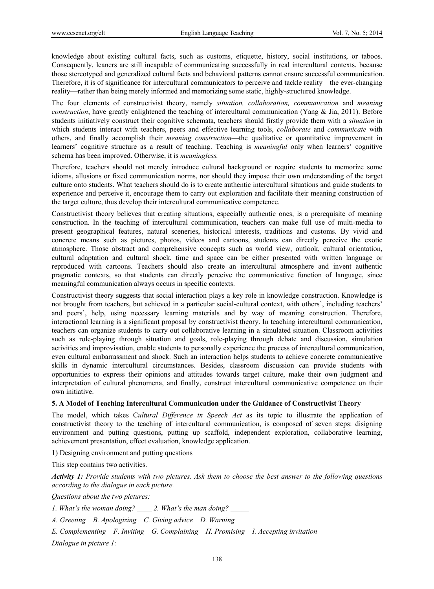knowledge about existing cultural facts, such as customs, etiquette, history, social institutions, or taboos. Consequently, leaners are still incapable of communicating successfully in real intercultural contexts, because those stereotyped and generalized cultural facts and behavioral patterns cannot ensure successful communication. Therefore, it is of significance for intercultural communicators to perceive and tackle reality—the ever-changing reality—rather than being merely informed and memorizing some static, highly-structured knowledge.

The four elements of constructivist theory, namely *situation, collaboration, communication* and *meaning construction*, have greatly enlightened the teaching of intercultural communication (Yang & Jia, 2011). Before students initiatively construct their cognitive schemata, teachers should firstly provide them with a *situation* in which students interact with teachers, peers and effective learning tools, *collaborate* and *communicate* with others, and finally accomplish their *meaning construction*—the qualitative or quantitative improvement in learners' cognitive structure as a result of teaching. Teaching is *meaningful* only when learners' cognitive schema has been improved. Otherwise, it is *meaningless.*

Therefore, teachers should not merely introduce cultural background or require students to memorize some idioms, allusions or fixed communication norms, nor should they impose their own understanding of the target culture onto students. What teachers should do is to create authentic intercultural situations and guide students to experience and perceive it, encourage them to carry out exploration and facilitate their meaning construction of the target culture, thus develop their intercultural communicative competence.

Constructivist theory believes that creating situations, especially authentic ones, is a prerequisite of meaning construction. In the teaching of intercultural communication, teachers can make full use of multi-media to present geographical features, natural sceneries, historical interests, traditions and customs. By vivid and concrete means such as pictures, photos, videos and cartoons, students can directly perceive the exotic atmosphere. Those abstract and comprehensive concepts such as world view, outlook, cultural orientation, cultural adaptation and cultural shock, time and space can be either presented with written language or reproduced with cartoons. Teachers should also create an intercultural atmosphere and invent authentic pragmatic contexts, so that students can directly perceive the communicative function of language, since meaningful communication always occurs in specific contexts.

Constructivist theory suggests that social interaction plays a key role in knowledge construction. Knowledge is not brought from teachers, but achieved in a particular social-cultural context, with others', including teachers' and peers', help, using necessary learning materials and by way of meaning construction. Therefore, interactional learning is a significant proposal by constructivist theory. In teaching intercultural communication, teachers can organize students to carry out collaborative learning in a simulated situation. Classroom activities such as role-playing through situation and goals, role-playing through debate and discussion, simulation activities and improvisation, enable students to personally experience the process of intercultural communication, even cultural embarrassment and shock. Such an interaction helps students to achieve concrete communicative skills in dynamic intercultural circumstances. Besides, classroom discussion can provide students with opportunities to express their opinions and attitudes towards target culture, make their own judgment and interpretation of cultural phenomena, and finally, construct intercultural communicative competence on their own initiative.

#### **5. A Model of Teaching Intercultural Communication under the Guidance of Constructivist Theory**

The model, which takes C*ultural Difference in Speech Act* as its topic to illustrate the application of constructivist theory to the teaching of intercultural communication, is composed of seven steps: disigning environment and putting questions, putting up scaffold, independent exploration, collaborative learning, achievement presentation, effect evaluation, knowledge application.

1) Designing environment and putting questions

This step contains two activities.

*Activity 1: Provide students with two pictures. Ask them to choose the best answer to the following questions according to the dialogue in each picture.* 

*Questions about the two pictures:* 

*1. What's the woman doing? \_\_\_\_ 2. What's the man doing? \_\_\_\_\_ \_\_\_* 

*A. Greeting B. Apologizing C. Giving advice D. Warning* 

*E. Complementing F. Inviting G. Complaining H. Promising I. Accepting invitation* 

*Dialogue in picture 1:*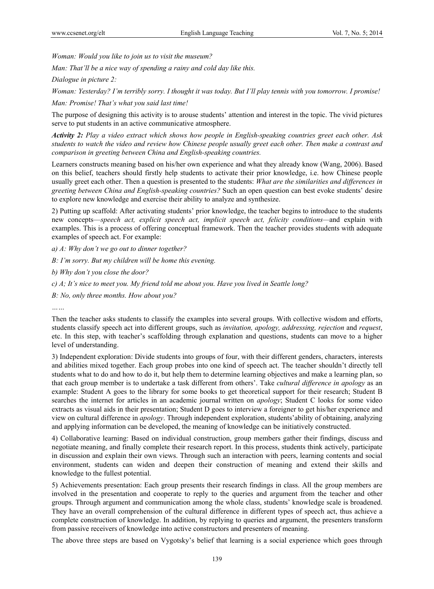*Woman: Would you like to join us to visit the museum?* 

*Man: That'll be a nice way of spending a rainy and cold day like this.* 

*Dialogue in picture 2:* 

*Woman: Yesterday? I'm terribly sorry. I thought it was today. But I'll play tennis with you tomorrow. I promise!* 

*Man: Promise! That's what you said last time!* 

The purpose of designing this activity is to arouse students' attention and interest in the topic. The vivid pictures serve to put students in an active communicative atmosphere.

*Activity 2: Play a video extract which shows how people in English-speaking countries greet each other. Ask students to watch the video and review how Chinese people usually greet each other. Then make a contrast and comparison in greeting between China and English-speaking countries.* 

Learners constructs meaning based on his/her own experience and what they already know (Wang, 2006). Based on this belief, teachers should firstly help students to activate their prior knowledge, i.e. how Chinese people usually greet each other. Then a question is presented to the students: *What are the similarities and differences in greeting between China and English-speaking countries?* Such an open question can best evoke students' desire to explore new knowledge and exercise their ability to analyze and synthesize.

2) Putting up scaffold: After activating students' prior knowledge, the teacher begins to introduce to the students new concepts—*speech act, explicit speech act, implicit speech act, felicity conditions—*and explain with examples. This is a process of offering conceptual framework. Then the teacher provides students with adequate examples of speech act. For example:

*a) A: Why don't we go out to dinner together?* 

*B: I'm sorry. But my children will be home this evening.* 

*b) Why don't you close the door?* 

*c) A; It's nice to meet you. My friend told me about you. Have you lived in Seattle long?* 

*B: No, only three months. How about you?* 

*……* 

Then the teacher asks students to classify the examples into several groups. With collective wisdom and efforts, students classify speech act into different groups, such as *invitation, apology, addressing, rejection* and *request*, etc. In this step, with teacher's scaffolding through explanation and questions, students can move to a higher level of understanding.

3) Independent exploration: Divide students into groups of four, with their different genders, characters, interests and abilities mixed together. Each group probes into one kind of speech act. The teacher shouldn't directly tell students what to do and how to do it, but help them to determine learning objectives and make a learning plan, so that each group member is to undertake a task different from others'. Take *cultural difference in apology* as an example: Student A goes to the library for some books to get theoretical support for their research; Student B searches the internet for articles in an academic journal written on *apology*; Student C looks for some video extracts as visual aids in their presentation; Student D goes to interview a foreigner to get his/her experience and view on cultural difference in *apology*. Through independent exploration, students'ability of obtaining, analyzing and applying information can be developed, the meaning of knowledge can be initiatively constructed.

4) Collaborative learning: Based on individual construction, group members gather their findings, discuss and negotiate meaning, and finally complete their research report. In this process, students think actively, participate in discussion and explain their own views. Through such an interaction with peers, learning contents and social environment, students can widen and deepen their construction of meaning and extend their skills and knowledge to the fullest potential.

5) Achievements presentation: Each group presents their research findings in class. All the group members are involved in the presentation and cooperate to reply to the queries and argument from the teacher and other groups. Through argument and communication among the whole class, students' knowledge scale is broadened. They have an overall comprehension of the cultural difference in different types of speech act, thus achieve a complete construction of knowledge. In addition, by replying to queries and argument, the presenters transform from passive receivers of knowledge into active constructors and presenters of meaning.

The above three steps are based on Vygotsky's belief that learning is a social experience which goes through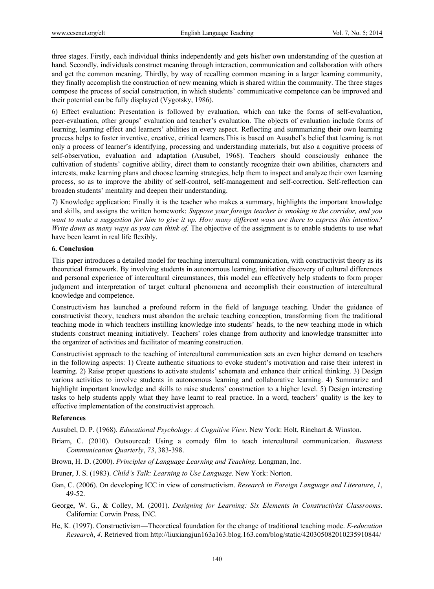three stages. Firstly, each individual thinks independently and gets his/her own understanding of the question at hand. Secondly, individuals construct meaning through interaction, communication and collaboration with others and get the common meaning. Thirdly, by way of recalling common meaning in a larger learning community, they finally accomplish the construction of new meaning which is shared within the community. The three stages compose the process of social construction, in which students' communicative competence can be improved and their potential can be fully displayed (Vygotsky, 1986).

6) Effect evaluation: Presentation is followed by evaluation, which can take the forms of self-evaluation, peer-evaluation, other groups' evaluation and teacher's evaluation. The objects of evaluation include forms of learning, learning effect and learners' abilities in every aspect. Reflecting and summarizing their own learning process helps to foster inventive, creative, critical learners.This is based on Ausubel's belief that learning is not only a process of learner's identifying, processing and understanding materials, but also a cognitive process of self-observation, evaluation and adaptation (Ausubel, 1968). Teachers should consciously enhance the cultivation of students' cognitive ability, direct them to constantly recognize their own abilities, characters and interests, make learning plans and choose learning strategies, help them to inspect and analyze their own learning process, so as to improve the ability of self-control, self-management and self-correction. Self-reflection can broaden students' mentality and deepen their understanding.

7) Knowledge application: Finally it is the teacher who makes a summary, highlights the important knowledge and skills, and assigns the written homework: *Suppose your foreign teacher is smoking in the corridor, and you want to make a suggestion for him to give it up. How many different ways are there to express this intention? Write down as many ways as you can think of.* The objective of the assignment is to enable students to use what have been learnt in real life flexibly.

### **6. Conclusion**

This paper introduces a detailed model for teaching intercultural communication, with constructivist theory as its theoretical framework. By involving students in autonomous learning, initiative discovery of cultural differences and personal experience of intercultural circumstances, this model can effectively help students to form proper judgment and interpretation of target cultural phenomena and accomplish their construction of intercultural knowledge and competence.

Constructivism has launched a profound reform in the field of language teaching. Under the guidance of constructivist theory, teachers must abandon the archaic teaching conception, transforming from the traditional teaching mode in which teachers instilling knowledge into students' heads, to the new teaching mode in which students construct meaning initiatively. Teachers' roles change from authority and knowledge transmitter into the organizer of activities and facilitator of meaning construction.

Constructivist approach to the teaching of intercultural communication sets an even higher demand on teachers in the following aspects: 1) Create authentic situations to evoke student's motivation and raise their interest in learning. 2) Raise proper questions to activate students' schemata and enhance their critical thinking. 3) Design various activities to involve students in autonomous learning and collaborative learning. 4) Summarize and highlight important knowledge and skills to raise students' construction to a higher level. 5) Design interesting tasks to help students apply what they have learnt to real practice. In a word, teachers' quality is the key to effective implementation of the constructivist approach.

## **References**

Ausubel, D. P. (1968). *Educational Psychology: A Cognitive View*. New York: Holt, Rinehart & Winston.

- Briam, C. (2010). Outsourced: Using a comedy film to teach intercultural communication. *Busuness Communication Quarterly*, *73*, 383-398.
- Brown, H. D. (2000). *Principles of Language Learning and Teaching*. Longman, Inc.
- Bruner, J. S. (1983). *Child's Talk: Learning to Use Language*. New York: Norton.
- Gan, C. (2006). On developing ICC in view of constructivism. *Research in Foreign Language and Literature*, *1*, 49-52.
- George, W. G., & Colley, M. (2001). *Designing for Learning: Six Elements in Constructivist Classrooms*. California: Corwin Press, INC.
- He, K. (1997). Constructivism—Theoretical foundation for the change of traditional teaching mode. *E-education Research*, *4*. Retrieved from http://liuxiangjun163a163.blog.163.com/blog/static/420305082010235910844/